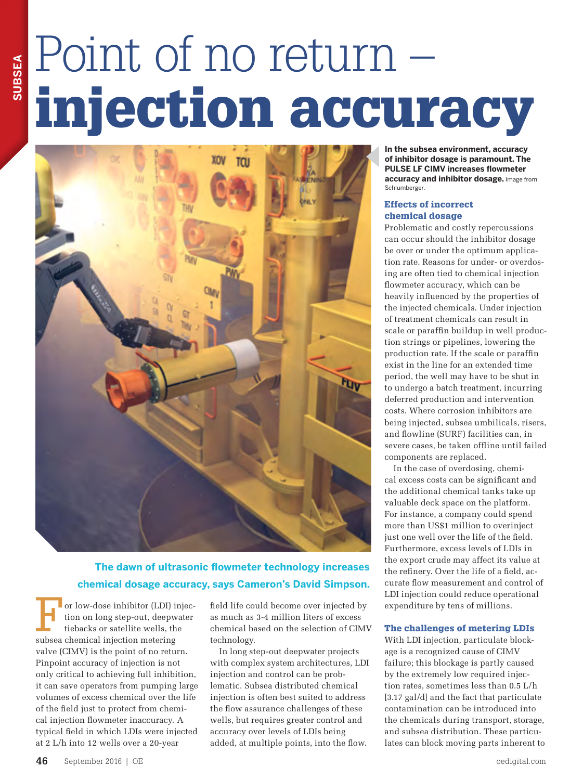# Point of no return – injection accuracy



## **The dawn of ultrasonic flowmeter technology increases chemical dosage accuracy, says Cameron's David Simpson.**

or low-dose inhibitor (LDI) injection on long step-out, deepwater tiebacks or satellite wells, the subsea chemical injection metering valve (CIMV) is the point of no return. Pinpoint accuracy of injection is not only critical to achieving full inhibition, it can save operators from pumping large volumes of excess chemical over the life of the field just to protect from chemical injection flowmeter inaccuracy. A typical field in which LDIs were injected at 2 L/h into 12 wells over a 20-year

field life could become over injected by as much as 3-4 million liters of excess chemical based on the selection of CIMV technology.

In long step-out deepwater projects with complex system architectures, LDI injection and control can be problematic. Subsea distributed chemical injection is often best suited to address the flow assurance challenges of these wells, but requires greater control and accuracy over levels of LDIs being added, at multiple points, into the flow.

**In the subsea environment, accuracy of inhibitor dosage is paramount. The PULSE LF CIMV increases flowmeter accuracy and inhibitor dosage.** Image from Schlumberger.

#### Effects of incorrect chemical dosage

Problematic and costly repercussions can occur should the inhibitor dosage be over or under the optimum application rate. Reasons for under- or overdosing are often tied to chemical injection flowmeter accuracy, which can be heavily influenced by the properties of the injected chemicals. Under injection of treatment chemicals can result in scale or paraffin buildup in well production strings or pipelines, lowering the production rate. If the scale or paraffin exist in the line for an extended time period, the well may have to be shut in to undergo a batch treatment, incurring deferred production and intervention costs. Where corrosion inhibitors are being injected, subsea umbilicals, risers, and flowline (SURF) facilities can, in severe cases, be taken offline until failed components are replaced.

In the case of overdosing, chemical excess costs can be significant and the additional chemical tanks take up valuable deck space on the platform. For instance, a company could spend more than US\$1 million to overinject just one well over the life of the field. Furthermore, excess levels of LDIs in the export crude may affect its value at the refinery. Over the life of a field, accurate flow measurement and control of LDI injection could reduce operational expenditure by tens of millions.

#### The challenges of metering LDIs

With LDI injection, particulate blockage is a recognized cause of CIMV failure; this blockage is partly caused by the extremely low required injection rates, sometimes less than 0.5 L/h [3.17 gal/d] and the fact that particulate contamination can be introduced into the chemicals during transport, storage, and subsea distribution. These particulates can block moving parts inherent to